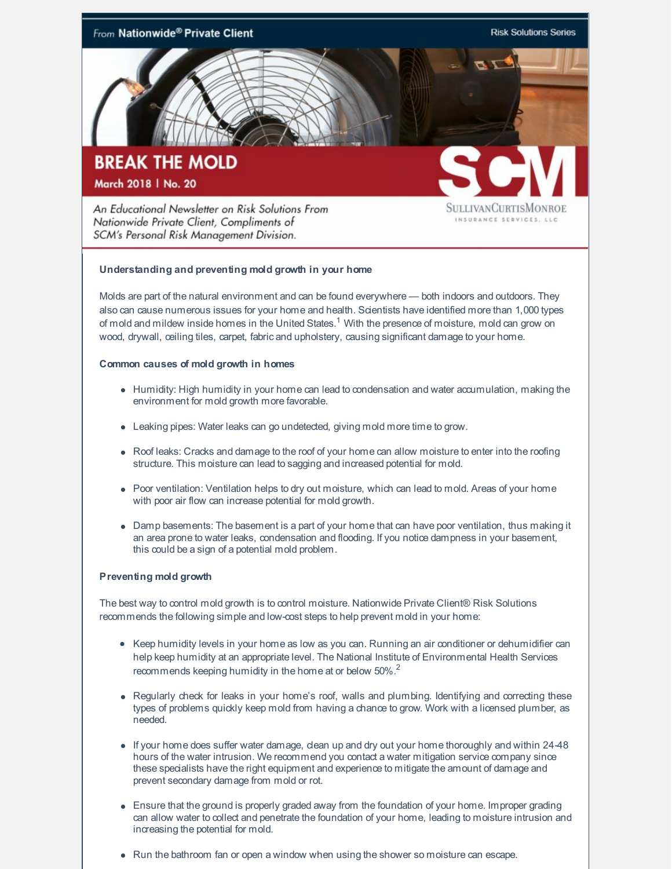

**Understanding and preventing mold growth in your home**

Molds are part of the natural environment and can be found everywhere — both indoors and outdoors. They also can cause numerous issues for your home and health. Scientists have identified more than 1,000 types of mold and mildew inside homes in the United States.<sup>1</sup> With the presence of moisture, mold can grow on wood, drywall, ceiling tiles, carpet, fabric and upholstery, causing significant damage to your home.

## **Common causes of mold growth in homes**

SCM's Personal Risk Management Division.

- Humidity: High humidity in your home can lead to condensation and water accumulation, making the environment for mold growth more favorable.
- Leaking pipes: Water leaks can go undetected, giving mold more time to grow.
- Roof leaks: Cracks and damage to the roof of your home can allow moisture to enter into the roofing structure. This moisture can lead to sagging and increased potential for mold.
- Poor ventilation: Ventilation helps to dry out moisture, which can lead to mold. Areas of your home with poor air flow can increase potential for mold growth.
- Damp basements: The basement is a part of your home that can have poor ventilation, thus making it an area prone to water leaks, condensation and flooding. If you notice dampness in your basement, this could be a sign of a potential mold problem.

## **Preventing mold growth**

The best way to control mold growth is to control moisture. Nationwide Private Client® Risk Solutions recommends the following simple and low-cost steps to help prevent mold in your home:

- Keep humidity levels in your home as low as you can. Running an air conditioner or dehumidifier can help keep humidity at an appropriate level. The National Institute of Environmental Health Services recommends keeping humidity in the home at or below  $50\%$ .<sup>2</sup>
- Regularly check for leaks in your home's roof, walls and plumbing. Identifying and correcting these types of problems quickly keep mold from having a chance to grow. Work with a licensed plumber, as needed.
- If your home does suffer water damage, dean up and dry out your home thoroughly and within 24-48 hours of the water intrusion. We recommend you contact a water mitigation service company since these specialists have the right equipment and experience to mitigate the amount of damage and prevent secondary damage from mold or rot.
- Ensure that the ground is properly graded away from the foundation of your home. Improper grading can allow water to collect and penetrate the foundation of your home, leading to moisture intrusion and increasing the potential for mold.
- Run the bathroom fan or open a window when using the shower so moisture can escape.